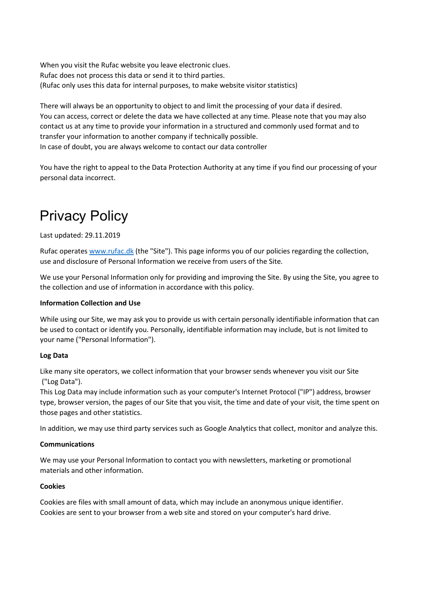When you visit the Rufac website you leave electronic clues. Rufac does not process this data or send it to third parties. (Rufac only uses this data for internal purposes, to make website visitor statistics)

There will always be an opportunity to object to and limit the processing of your data if desired. You can access, correct or delete the data we have collected at any time. Please note that you may also contact us at any time to provide your information in a structured and commonly used format and to transfer your information to another company if technically possible. In case of doubt, you are always welcome to contact our data controller

You have the right to appeal to the Data Protection Authority at any time if you find our processing of your personal data incorrect.

# Privacy Policy

## Last updated: 29.11.2019

Rufac operates www.rufac.dk (the "Site"). This page informs you of our policies regarding the collection, use and disclosure of Personal Information we receive from users of the Site.

We use your Personal Information only for providing and improving the Site. By using the Site, you agree to the collection and use of information in accordance with this policy.

## Information Collection and Use

While using our Site, we may ask you to provide us with certain personally identifiable information that can be used to contact or identify you. Personally, identifiable information may include, but is not limited to your name ("Personal Information").

## Log Data

Like many site operators, we collect information that your browser sends whenever you visit our Site ("Log Data").

This Log Data may include information such as your computer's Internet Protocol ("IP") address, browser type, browser version, the pages of our Site that you visit, the time and date of your visit, the time spent on those pages and other statistics.

In addition, we may use third party services such as Google Analytics that collect, monitor and analyze this.

## Communications

We may use your Personal Information to contact you with newsletters, marketing or promotional materials and other information.

#### **Cookies**

Cookies are files with small amount of data, which may include an anonymous unique identifier. Cookies are sent to your browser from a web site and stored on your computer's hard drive.